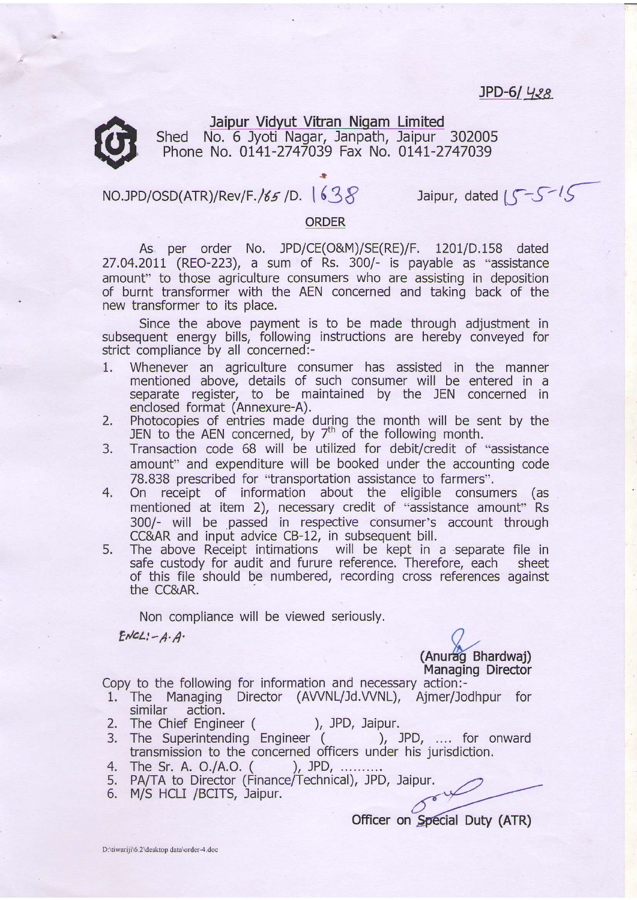## $JPD-61$  428



Jaipur Vidvut Vitran Nigam Limited Shed No. 6 Jyoti Nagar, Janpath, Jaipur 302005 Phone No. 014I-2747039 Fax No. 014I-2747039

## NO.JPD/OSD(ATR)/Rev/F./65 /D. 1638 Jaipur, dated  $S^{-S-1}S$

## ORDER

.l

As per order No. JPD/CE(O&M)/SE(RE)/F. 1201/D.158 dated 27.04.2011 (REO-223), a sum of Rs. 300/- is payable as "assistance amount" to those agriculture consumers who are assisting in deposition of burnt transformer with the AEN concerned and taking back of the new transformer to its place.

Since the above payment is to be made through adjustment in subsequent energy bills, following instructions are hereby conveyed for strict compliance by all concerned:-

- 1. Whenever an agriculture consumer has assisted in the manner mentioned above, details of such consumer will be entered in a separate register, to be maintained by the JEN concerned in enclosed format (Annexure-A).
- 2. Photocopies of entries made during the month will be sent by the JEN to the AEN concerned, by  $7<sup>th</sup>$  of the following month.
- 3. Transaction code 68 will be utilized for debit/credit of "assistance amount" and expenditure will be booked under the accounting code 78.838 prescribed for "transportation assistance to farmers".
- 4. On receipt of information about the eligible consumers (as mentioned at item 2), necessary credit of "assistance amount" Rs 300/- will be passed in respective consumer's account through CC&AR and input advice CB-12, in subsequent bill.
- 5. The above Receipt intimations will be kept in a separate file in safe custody for audit and furure reference. Therefore, each sheet safe custody for audit and furure reference. Therefore, each - sheet<br>of this file should be numbered, recording cross references against the CC&AR.

Non compliance will be viewed seriously.

 $ENCL:-A\cdot A$ .

(Anurag Bhardwai) Managing Director

Copy to the following for information and necessary action:-

- 1. The Managing Director (AVVNL/Jd.VVNL), Ajmer/Jodhpur for similar action. action.
- 
- 2. The Chief Engineer ( ), JPD, Jaipur.<br>3. The Superintending Engineer ( ), JPD, .... for onward The Superintending Engineer ( transmission to the concerned officers under his jurisdiction.
- 4 The Sr. A. O./A.O. ( ), JPD, .........
- 5. PA/TA to Director (Finance/Technical), JPD, Jaipur.
- 6. M/S HCLI /BCITS, Jaipur.

Officer on Special Duty (ATR)

D:\tiwariji\6.2\desktop data\order-4.doc